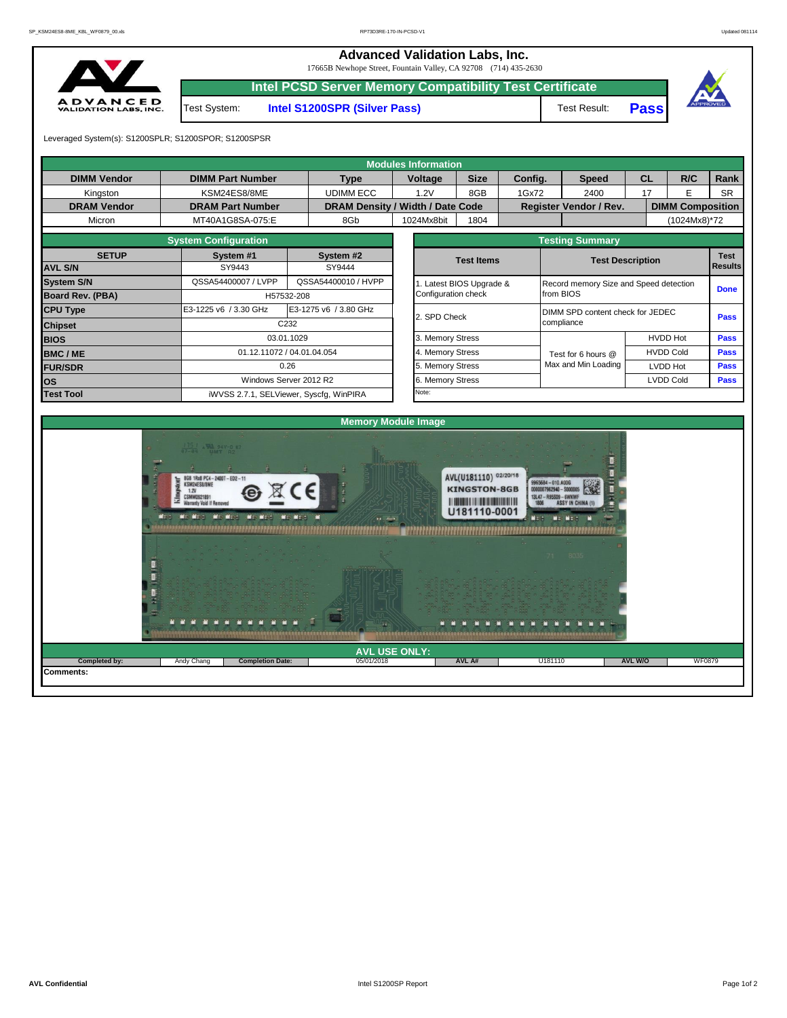**Advanced Validation Labs, Inc.** 

17665B Newhope Street, Fountain Valley, CA 92708 (714) 435-2630



|              | 17000D POWINDE BUCCL FOUNDATION VANCY, CA 72700 (714) 400-2000 |              |             |
|--------------|----------------------------------------------------------------|--------------|-------------|
|              | Intel PCSD Server Memory Compatibility Test Certificate        |              |             |
| Test System: | <b>Intel S1200SPR (Silver Pass)</b>                            | Test Result: | <b>Pass</b> |



Leveraged System(s): S1200SPLR; S1200SPOR; S1200SPSR

|                    |                                                                                                                                                                                      |                                         | <b>Modules Information</b>                   |                                                                                                |                          |                                                                                           |                |                         |                |
|--------------------|--------------------------------------------------------------------------------------------------------------------------------------------------------------------------------------|-----------------------------------------|----------------------------------------------|------------------------------------------------------------------------------------------------|--------------------------|-------------------------------------------------------------------------------------------|----------------|-------------------------|----------------|
| <b>DIMM Vendor</b> | <b>DIMM Part Number</b>                                                                                                                                                              | <b>Type</b>                             | Voltage                                      | <b>Size</b>                                                                                    | Config.                  | <b>Speed</b>                                                                              | CL             | R/C                     | Rank           |
| Kingston           | KSM24ES8/8ME                                                                                                                                                                         | <b>UDIMM ECC</b>                        | 1.2V                                         | 8GB                                                                                            | 1Gx72                    | 2400                                                                                      | 17             | E                       | <b>SR</b>      |
| <b>DRAM Vendor</b> | <b>DRAM Part Number</b>                                                                                                                                                              |                                         | DRAM Density / Width / Date Code             |                                                                                                |                          | Register Vendor / Rev.                                                                    |                | <b>DIMM Composition</b> |                |
| Micron             | MT40A1G8SA-075:E                                                                                                                                                                     | 8Gb                                     | 1024Mx8bit                                   | 1804                                                                                           |                          |                                                                                           |                | (1024Mx8)*72            |                |
|                    | <b>System Configuration</b>                                                                                                                                                          |                                         |                                              |                                                                                                |                          | <b>Testing Summary</b>                                                                    |                |                         |                |
| <b>SETUP</b>       | System #1                                                                                                                                                                            | System #2                               |                                              | <b>Test Items</b>                                                                              |                          | <b>Test Description</b>                                                                   |                |                         | <b>Test</b>    |
| <b>AVL S/N</b>     | SY9443                                                                                                                                                                               | SY9444                                  |                                              |                                                                                                |                          |                                                                                           |                |                         | <b>Results</b> |
| <b>System S/N</b>  | QSSA54400007 / LVPP                                                                                                                                                                  | QSSA54400010 / HVPP                     |                                              | 1. Latest BIOS Upgrade &                                                                       |                          | Record memory Size and Speed detection                                                    |                |                         | <b>Done</b>    |
| Board Rev. (PBA)   |                                                                                                                                                                                      | H57532-208                              | Configuration check                          |                                                                                                |                          | from BIOS                                                                                 |                |                         |                |
| <b>CPU Type</b>    | E3-1225 v6 / 3.30 GHz                                                                                                                                                                | E3-1275 v6 / 3.80 GHz                   | 2. SPD Check                                 |                                                                                                |                          | DIMM SPD content check for JEDEC                                                          |                |                         | Pass           |
| <b>Chipset</b>     |                                                                                                                                                                                      | C232                                    |                                              |                                                                                                |                          | compliance                                                                                |                |                         |                |
| <b>BIOS</b>        |                                                                                                                                                                                      | 03.01.1029                              | 3. Memory Stress                             |                                                                                                |                          |                                                                                           |                | <b>HVDD Hot</b>         | Pass           |
| <b>BMC/ME</b>      |                                                                                                                                                                                      | 01.12.11072 / 04.01.04.054              | 4. Memory Stress                             |                                                                                                |                          | Test for 6 hours @                                                                        |                | <b>HVDD Cold</b>        | Pass           |
| <b>FUR/SDR</b>     |                                                                                                                                                                                      | 0.26                                    | 5. Memory Stress                             |                                                                                                |                          | Max and Min Loading                                                                       |                | LVDD Hot                | Pass           |
| <b>los</b>         |                                                                                                                                                                                      | Windows Server 2012 R2                  | 6. Memory Stress                             |                                                                                                |                          |                                                                                           |                | LVDD Cold               | Pass           |
| <b>Test Tool</b>   |                                                                                                                                                                                      | iWVSS 2.7.1, SELViewer, Syscfg, WinPIRA | Note:                                        |                                                                                                |                          |                                                                                           |                |                         |                |
|                    | $\frac{1751}{17-84}$ . We sav-0 K7<br>8GB 1Rx8 PC4-2400T-ED2-11<br>KSM24ES8/8ME<br>1.2V<br>CSMM0921891<br><b>Warranty Void If Removed</b><br>We Wed Wis Wed Win Wed<br>$M \approx 1$ | <b>Mr. Mr.s.</b>                        | <b>Memory Module Image</b><br>$\overline{1}$ | AVL(U181110) 02/20/18<br><b>KINGSTON-8GB</b><br><b>The Common Section 1989</b><br>U181110-0001 | 9965684-010.A00G<br>NE H | 00007962940 - \$000005<br>13L47 - R95S09 - 6WKWF<br><b>ASSY IN CHINA</b><br><b>LE LEE</b> |                |                         |                |
| Completed by:      | Andy Chang<br><b>Completion Date:</b>                                                                                                                                                | 05/01/2018                              | <b>AVL USE ONLY:</b>                         | AVL A#                                                                                         | U181110                  |                                                                                           | <b>AVL W/O</b> | <b>WF0879</b>           |                |
| Comments:          |                                                                                                                                                                                      |                                         |                                              |                                                                                                |                          |                                                                                           |                |                         |                |